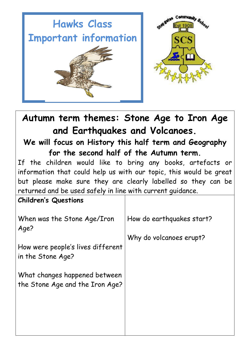

**Autumn term themes: Stone Age to Iron Age and Earthquakes and Volcanoes.**

**We will focus on History this half term and Geography for the second half of the Autumn term.**

If the children would like to bring any books, artefacts or information that could help us with our topic, this would be great but please make sure they are clearly labelled so they can be returned and be used safely in line with current guidance.

| <b>Children's Questions</b>                                      |                           |
|------------------------------------------------------------------|---------------------------|
| When was the Stone Age/Iron<br>Age?                              | How do earthquakes start? |
| How were people's lives different<br>in the Stone Age?           | Why do volcanoes erupt?   |
| What changes happened between<br>the Stone Age and the Iron Age? |                           |
|                                                                  |                           |
|                                                                  |                           |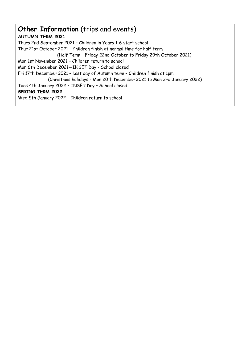# **Other Information** (trips and events) **AUTUMN TERM 2021** Thurs 2nd September 2021 – Children in Years 1-6 start school Thur 21st October 2021 – Children finish at normal time for half term (Half Term – Friday 22nd October to Friday 29th October 2021) Mon 1st November 2021 – Children return to school Mon 6th December 2021—INSET Day - School closed Fri 17th December 2021 – Last day of Autumn term – Children finish at 1pm (Christmas holidays - Mon 20th December 2021 to Mon 3rd January 2022) Tues 4th January 2022 – INSET Day – School closed **SPRING TERM 2022** Wed 5th January 2022 – Children return to school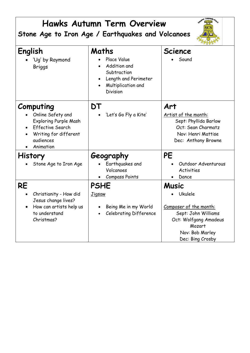| <b>Hawks Autumn Term Overview</b><br>Stone Age to Iron Age / Earthquakes and Volcanoes                                                                    |                                                                                                               |                                                                                                                                                    |
|-----------------------------------------------------------------------------------------------------------------------------------------------------------|---------------------------------------------------------------------------------------------------------------|----------------------------------------------------------------------------------------------------------------------------------------------------|
| English<br>'Ug' by Raymond<br><b>Briggs</b>                                                                                                               | Maths<br>Place Value<br>Addition and<br>Subtraction<br>Length and Perimeter<br>Multiplication and<br>Division | <b>Science</b><br>Sound                                                                                                                            |
| Computing<br>Online Safety and<br><b>Exploring Purple Mash</b><br><b>Effective Search</b><br>$\bullet$<br>Writing for different<br>audiences<br>Animation | DT<br>'Let's Go Fly a Kite'                                                                                   | Art<br>Artist of the month:<br>Sept: Phyllida Barlow<br>Oct: Sean Charmatz<br>Nov: Henri Mattise<br>Dec: Anthony Browne                            |
| <b>History</b><br>Stone Age to Iron Age                                                                                                                   | Geography<br>Earthquakes and<br>Volcanoes<br><b>Compass Points</b>                                            | <b>PE</b><br>Outdoor Adventurous<br><b>Activities</b><br>Dance                                                                                     |
| <b>RE</b><br>Christianity - How did<br>Jesus change lives?<br>How can artists help us<br>to understand<br>Christmas?                                      | <b>PSHE</b><br><u>Jigsaw</u><br>Being Me in my World<br><b>Celebrating Difference</b>                         | <b>Music</b><br>Ukulele<br>Composer of the month:<br>Sept: John Williams<br>Oct: Wolfgang Amadeus<br>Mozart<br>Nov: Bob Marley<br>Dec: Bing Crosby |